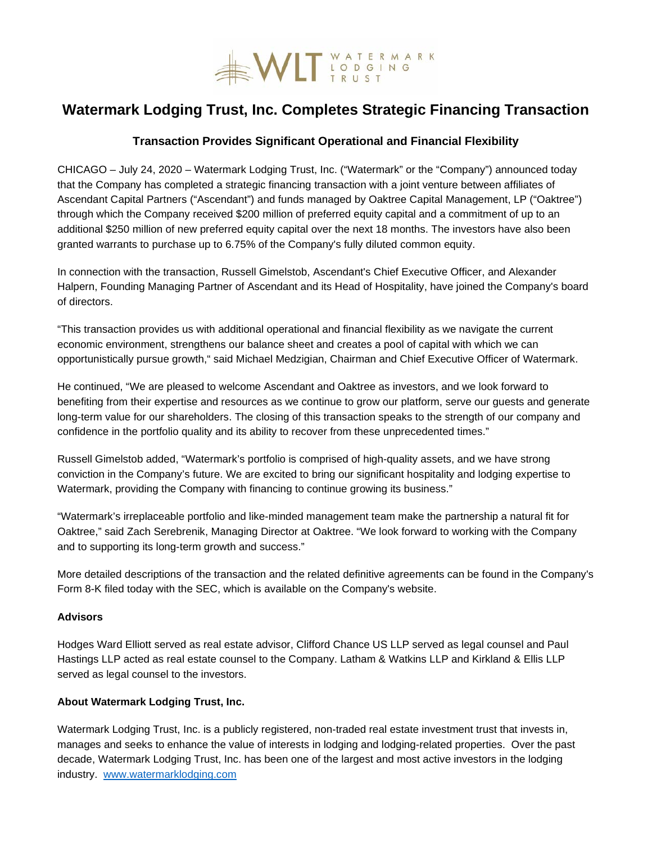

# **Watermark Lodging Trust, Inc. Completes Strategic Financing Transaction**

# **Transaction Provides Significant Operational and Financial Flexibility**

CHICAGO – July 24, 2020 – Watermark Lodging Trust, Inc. ("Watermark" or the "Company") announced today that the Company has completed a strategic financing transaction with a joint venture between affiliates of Ascendant Capital Partners ("Ascendant") and funds managed by Oaktree Capital Management, LP ("Oaktree") through which the Company received \$200 million of preferred equity capital and a commitment of up to an additional \$250 million of new preferred equity capital over the next 18 months. The investors have also been granted warrants to purchase up to 6.75% of the Company's fully diluted common equity.

In connection with the transaction, Russell Gimelstob, Ascendant's Chief Executive Officer, and Alexander Halpern, Founding Managing Partner of Ascendant and its Head of Hospitality, have joined the Company's board of directors.

"This transaction provides us with additional operational and financial flexibility as we navigate the current economic environment, strengthens our balance sheet and creates a pool of capital with which we can opportunistically pursue growth," said Michael Medzigian, Chairman and Chief Executive Officer of Watermark.

He continued, "We are pleased to welcome Ascendant and Oaktree as investors, and we look forward to benefiting from their expertise and resources as we continue to grow our platform, serve our guests and generate long-term value for our shareholders. The closing of this transaction speaks to the strength of our company and confidence in the portfolio quality and its ability to recover from these unprecedented times."

Russell Gimelstob added, "Watermark's portfolio is comprised of high-quality assets, and we have strong conviction in the Company's future. We are excited to bring our significant hospitality and lodging expertise to Watermark, providing the Company with financing to continue growing its business."

"Watermark's irreplaceable portfolio and like-minded management team make the partnership a natural fit for Oaktree," said Zach Serebrenik, Managing Director at Oaktree. "We look forward to working with the Company and to supporting its long-term growth and success."

More detailed descriptions of the transaction and the related definitive agreements can be found in the Company's Form 8-K filed today with the SEC, which is available on the Company's website.

## **Advisors**

Hodges Ward Elliott served as real estate advisor, Clifford Chance US LLP served as legal counsel and Paul Hastings LLP acted as real estate counsel to the Company. Latham & Watkins LLP and Kirkland & Ellis LLP served as legal counsel to the investors.

# **About Watermark Lodging Trust, Inc.**

Watermark Lodging Trust, Inc. is a publicly registered, non-traded real estate investment trust that invests in, manages and seeks to enhance the value of interests in lodging and lodging-related properties. Over the past decade, Watermark Lodging Trust, Inc. has been one of the largest and most active investors in the lodging industry. [www.watermarklodging.com](http://www.watermarklodging.com/)